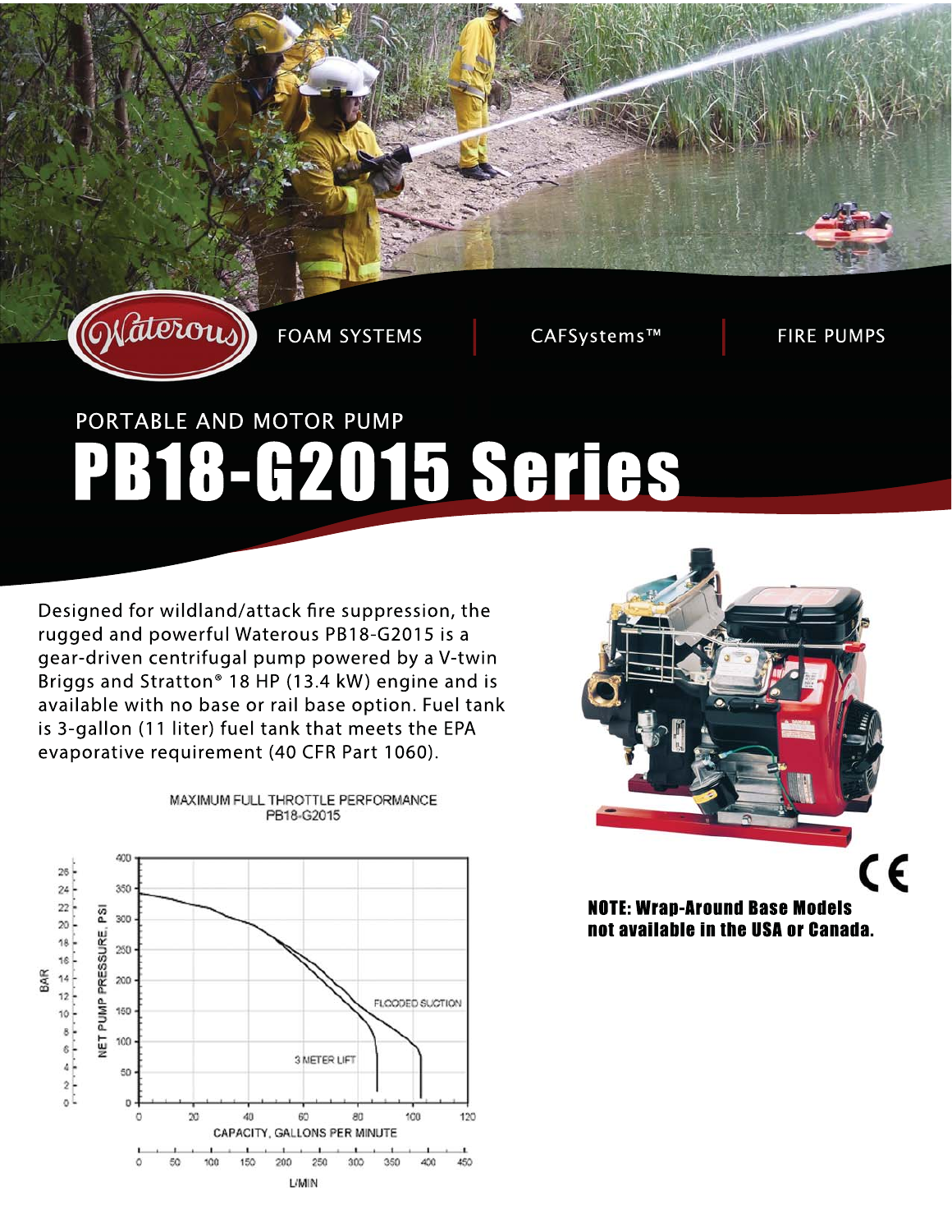

**FOAM SYSTEMS** 

CAFSystems™

**FIRE PUMPS** 

# PORTABLE AND MOTOR PUMP PB18-G2015 Series

Designed for wildland/attack fire suppression, the rugged and powerful Waterous PB18-G2015 is a gear-driven centrifugal pump powered by a V-twin Briggs and Stratton® 18 HP (13.4 kW) engine and is available with no base or rail base option. Fuel tank is 3-gallon (11 liter) fuel tank that meets the EPA evaporative requirement (40 CFR Part 1060).



MAXIMUM FULL THROTTLE PERFORMANCE PB18-G2015



**NOTE: Wran-Around Base Models** not available in the USA or Canada.